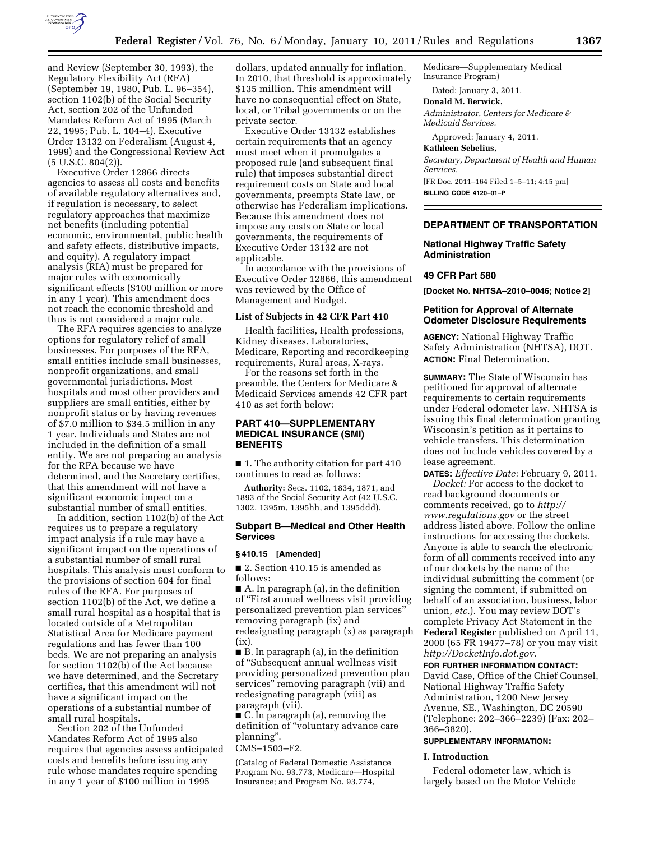

and Review (September 30, 1993), the Regulatory Flexibility Act (RFA) (September 19, 1980, Pub. L. 96–354), section 1102(b) of the Social Security Act, section 202 of the Unfunded Mandates Reform Act of 1995 (March 22, 1995; Pub. L. 104–4), Executive Order 13132 on Federalism (August 4, 1999) and the Congressional Review Act (5 U.S.C. 804(2)).

Executive Order 12866 directs agencies to assess all costs and benefits of available regulatory alternatives and, if regulation is necessary, to select regulatory approaches that maximize net benefits (including potential economic, environmental, public health and safety effects, distributive impacts, and equity). A regulatory impact analysis (RIA) must be prepared for major rules with economically significant effects (\$100 million or more in any 1 year). This amendment does not reach the economic threshold and thus is not considered a major rule.

The RFA requires agencies to analyze options for regulatory relief of small businesses. For purposes of the RFA, small entities include small businesses, nonprofit organizations, and small governmental jurisdictions. Most hospitals and most other providers and suppliers are small entities, either by nonprofit status or by having revenues of \$7.0 million to \$34.5 million in any 1 year. Individuals and States are not included in the definition of a small entity. We are not preparing an analysis for the RFA because we have determined, and the Secretary certifies, that this amendment will not have a significant economic impact on a substantial number of small entities.

In addition, section 1102(b) of the Act requires us to prepare a regulatory impact analysis if a rule may have a significant impact on the operations of a substantial number of small rural hospitals. This analysis must conform to the provisions of section 604 for final rules of the RFA. For purposes of section 1102(b) of the Act, we define a small rural hospital as a hospital that is located outside of a Metropolitan Statistical Area for Medicare payment regulations and has fewer than 100 beds. We are not preparing an analysis for section 1102(b) of the Act because we have determined, and the Secretary certifies, that this amendment will not have a significant impact on the operations of a substantial number of small rural hospitals.

Section 202 of the Unfunded Mandates Reform Act of 1995 also requires that agencies assess anticipated costs and benefits before issuing any rule whose mandates require spending in any 1 year of \$100 million in 1995

dollars, updated annually for inflation. In 2010, that threshold is approximately \$135 million. This amendment will have no consequential effect on State, local, or Tribal governments or on the private sector.

Executive Order 13132 establishes certain requirements that an agency must meet when it promulgates a proposed rule (and subsequent final rule) that imposes substantial direct requirement costs on State and local governments, preempts State law, or otherwise has Federalism implications. Because this amendment does not impose any costs on State or local governments, the requirements of Executive Order 13132 are not applicable.

In accordance with the provisions of Executive Order 12866, this amendment was reviewed by the Office of Management and Budget.

#### **List of Subjects in 42 CFR Part 410**

Health facilities, Health professions, Kidney diseases, Laboratories, Medicare, Reporting and recordkeeping requirements, Rural areas, X-rays.

For the reasons set forth in the preamble, the Centers for Medicare & Medicaid Services amends 42 CFR part 410 as set forth below:

# **PART 410—SUPPLEMENTARY MEDICAL INSURANCE (SMI) BENEFITS**

■ 1. The authority citation for part 410 continues to read as follows:

**Authority:** Secs. 1102, 1834, 1871, and 1893 of the Social Security Act (42 U.S.C. 1302, 1395m, 1395hh, and 1395ddd).

### **Subpart B—Medical and Other Health Services**

### **§ 410.15 [Amended]**

■ 2. Section 410.15 is amended as follows:

■ A. In paragraph (a), in the definition of ''First annual wellness visit providing personalized prevention plan services'' removing paragraph (ix) and redesignating paragraph (x) as paragraph  $(ix)$ .

■ B. In paragraph (a), in the definition of ''Subsequent annual wellness visit providing personalized prevention plan services'' removing paragraph (vii) and redesignating paragraph (viii) as paragraph (vii).

■ C. In paragraph (a), removing the definition of ''voluntary advance care planning''.

### CMS–1503–F2.

(Catalog of Federal Domestic Assistance Program No. 93.773, Medicare—Hospital Insurance; and Program No. 93.774,

Medicare—Supplementary Medical Insurance Program)

Dated: January 3, 2011.

# **Donald M. Berwick,**

*Administrator, Centers for Medicare & Medicaid Services.* 

Approved: January 4, 2011.

#### **Kathleen Sebelius,**

*Secretary, Department of Health and Human Services.*  [FR Doc. 2011–164 Filed 1–5–11; 4:15 pm]

**BILLING CODE 4120–01–P** 

# **DEPARTMENT OF TRANSPORTATION**

# **National Highway Traffic Safety Administration**

## **49 CFR Part 580**

**[Docket No. NHTSA–2010–0046; Notice 2]** 

# **Petition for Approval of Alternate Odometer Disclosure Requirements**

**AGENCY:** National Highway Traffic Safety Administration (NHTSA), DOT. **ACTION:** Final Determination.

**SUMMARY:** The State of Wisconsin has petitioned for approval of alternate requirements to certain requirements under Federal odometer law. NHTSA is issuing this final determination granting Wisconsin's petition as it pertains to vehicle transfers. This determination does not include vehicles covered by a lease agreement.

**DATES:** *Effective Date:* February 9, 2011. *Docket:* For access to the docket to

read background documents or comments received, go to *[http://](http://www.regulations.gov)  [www.regulations.gov](http://www.regulations.gov)* or the street address listed above. Follow the online instructions for accessing the dockets. Anyone is able to search the electronic form of all comments received into any of our dockets by the name of the individual submitting the comment (or signing the comment, if submitted on behalf of an association, business, labor union, *etc.*). You may review DOT's complete Privacy Act Statement in the **Federal Register** published on April 11, 2000 (65 FR 19477–78) or you may visit *[http://DocketInfo.dot.gov.](http://DocketInfo.dot.gov)* 

**FOR FURTHER INFORMATION CONTACT:**  David Case, Office of the Chief Counsel, National Highway Traffic Safety Administration, 1200 New Jersey Avenue, SE., Washington, DC 20590 (Telephone: 202–366–2239) (Fax: 202– 366–3820).

# **SUPPLEMENTARY INFORMATION:**

#### **I. Introduction**

Federal odometer law, which is largely based on the Motor Vehicle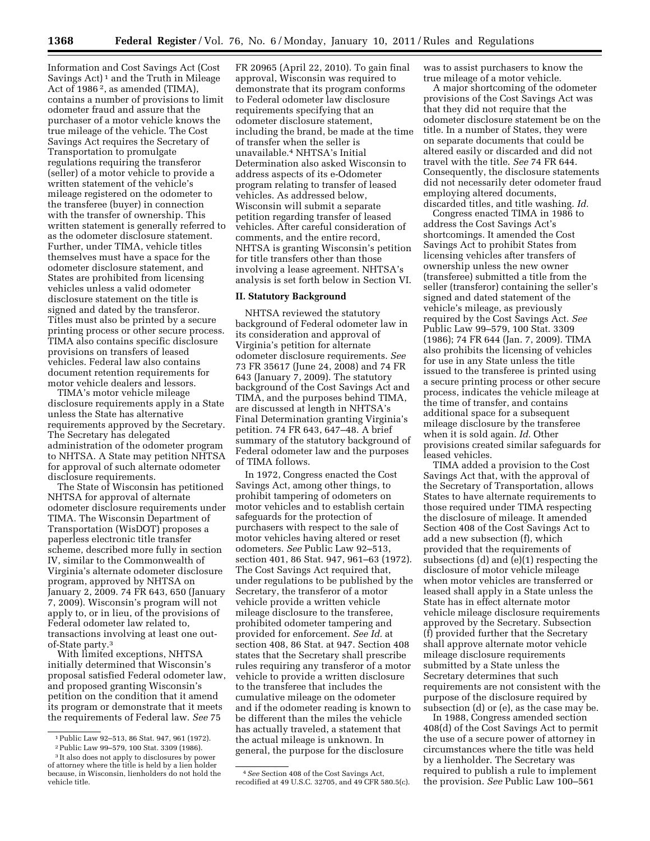Information and Cost Savings Act (Cost Savings Act)<sup>1</sup> and the Truth in Mileage Act of 1986<sup>2</sup>, as amended (TIMA), contains a number of provisions to limit odometer fraud and assure that the purchaser of a motor vehicle knows the true mileage of the vehicle. The Cost Savings Act requires the Secretary of Transportation to promulgate regulations requiring the transferor (seller) of a motor vehicle to provide a written statement of the vehicle's mileage registered on the odometer to the transferee (buyer) in connection with the transfer of ownership. This written statement is generally referred to as the odometer disclosure statement. Further, under TIMA, vehicle titles themselves must have a space for the odometer disclosure statement, and States are prohibited from licensing vehicles unless a valid odometer disclosure statement on the title is signed and dated by the transferor. Titles must also be printed by a secure printing process or other secure process. TIMA also contains specific disclosure provisions on transfers of leased vehicles. Federal law also contains document retention requirements for motor vehicle dealers and lessors.

TIMA's motor vehicle mileage disclosure requirements apply in a State unless the State has alternative requirements approved by the Secretary. The Secretary has delegated administration of the odometer program to NHTSA. A State may petition NHTSA for approval of such alternate odometer disclosure requirements.

The State of Wisconsin has petitioned NHTSA for approval of alternate odometer disclosure requirements under TIMA. The Wisconsin Department of Transportation (WisDOT) proposes a paperless electronic title transfer scheme, described more fully in section IV, similar to the Commonwealth of Virginia's alternate odometer disclosure program, approved by NHTSA on January 2, 2009. 74 FR 643, 650 (January 7, 2009). Wisconsin's program will not apply to, or in lieu, of the provisions of Federal odometer law related to, transactions involving at least one outof-State party.3

With limited exceptions, NHTSA initially determined that Wisconsin's proposal satisfied Federal odometer law, and proposed granting Wisconsin's petition on the condition that it amend its program or demonstrate that it meets the requirements of Federal law. *See* 75

FR 20965 (April 22, 2010). To gain final approval, Wisconsin was required to demonstrate that its program conforms to Federal odometer law disclosure requirements specifying that an odometer disclosure statement, including the brand, be made at the time of transfer when the seller is unavailable.4 NHTSA's Initial Determination also asked Wisconsin to address aspects of its e-Odometer program relating to transfer of leased vehicles. As addressed below, Wisconsin will submit a separate petition regarding transfer of leased vehicles. After careful consideration of comments, and the entire record, NHTSA is granting Wisconsin's petition for title transfers other than those involving a lease agreement. NHTSA's analysis is set forth below in Section VI.

# **II. Statutory Background**

NHTSA reviewed the statutory background of Federal odometer law in its consideration and approval of Virginia's petition for alternate odometer disclosure requirements. *See*  73 FR 35617 (June 24, 2008) and 74 FR 643 (January 7, 2009). The statutory background of the Cost Savings Act and TIMA, and the purposes behind TIMA, are discussed at length in NHTSA's Final Determination granting Virginia's petition. 74 FR 643, 647–48. A brief summary of the statutory background of Federal odometer law and the purposes of TIMA follows.

In 1972, Congress enacted the Cost Savings Act, among other things, to prohibit tampering of odometers on motor vehicles and to establish certain safeguards for the protection of purchasers with respect to the sale of motor vehicles having altered or reset odometers. *See* Public Law 92–513, section 401, 86 Stat. 947, 961–63 (1972). The Cost Savings Act required that, under regulations to be published by the Secretary, the transferor of a motor vehicle provide a written vehicle mileage disclosure to the transferee, prohibited odometer tampering and provided for enforcement. *See Id.* at section 408, 86 Stat. at 947. Section 408 states that the Secretary shall prescribe rules requiring any transferor of a motor vehicle to provide a written disclosure to the transferee that includes the cumulative mileage on the odometer and if the odometer reading is known to be different than the miles the vehicle has actually traveled, a statement that the actual mileage is unknown. In general, the purpose for the disclosure

4*See* Section 408 of the Cost Savings Act, recodified at 49 U.S.C. 32705, and 49 CFR 580.5(c). was to assist purchasers to know the true mileage of a motor vehicle.

A major shortcoming of the odometer provisions of the Cost Savings Act was that they did not require that the odometer disclosure statement be on the title. In a number of States, they were on separate documents that could be altered easily or discarded and did not travel with the title. *See* 74 FR 644. Consequently, the disclosure statements did not necessarily deter odometer fraud employing altered documents, discarded titles, and title washing. *Id.* 

Congress enacted TIMA in 1986 to address the Cost Savings Act's shortcomings. It amended the Cost Savings Act to prohibit States from licensing vehicles after transfers of ownership unless the new owner (transferee) submitted a title from the seller (transferor) containing the seller's signed and dated statement of the vehicle's mileage, as previously required by the Cost Savings Act. *See*  Public Law 99–579, 100 Stat. 3309 (1986); 74 FR 644 (Jan. 7, 2009). TIMA also prohibits the licensing of vehicles for use in any State unless the title issued to the transferee is printed using a secure printing process or other secure process, indicates the vehicle mileage at the time of transfer, and contains additional space for a subsequent mileage disclosure by the transferee when it is sold again. *Id.* Other provisions created similar safeguards for leased vehicles.

TIMA added a provision to the Cost Savings Act that, with the approval of the Secretary of Transportation, allows States to have alternate requirements to those required under TIMA respecting the disclosure of mileage. It amended Section 408 of the Cost Savings Act to add a new subsection (f), which provided that the requirements of subsections (d) and (e)(1) respecting the disclosure of motor vehicle mileage when motor vehicles are transferred or leased shall apply in a State unless the State has in effect alternate motor vehicle mileage disclosure requirements approved by the Secretary. Subsection (f) provided further that the Secretary shall approve alternate motor vehicle mileage disclosure requirements submitted by a State unless the Secretary determines that such requirements are not consistent with the purpose of the disclosure required by subsection (d) or (e), as the case may be.

In 1988, Congress amended section 408(d) of the Cost Savings Act to permit the use of a secure power of attorney in circumstances where the title was held by a lienholder. The Secretary was required to publish a rule to implement the provision. *See* Public Law 100–561

<sup>1</sup>Public Law 92–513, 86 Stat. 947, 961 (1972). 2Public Law 99–579, 100 Stat. 3309 (1986).

<sup>3</sup> It also does not apply to disclosures by power of attorney where the title is held by a lien holder because, in Wisconsin, lienholders do not hold the vehicle title.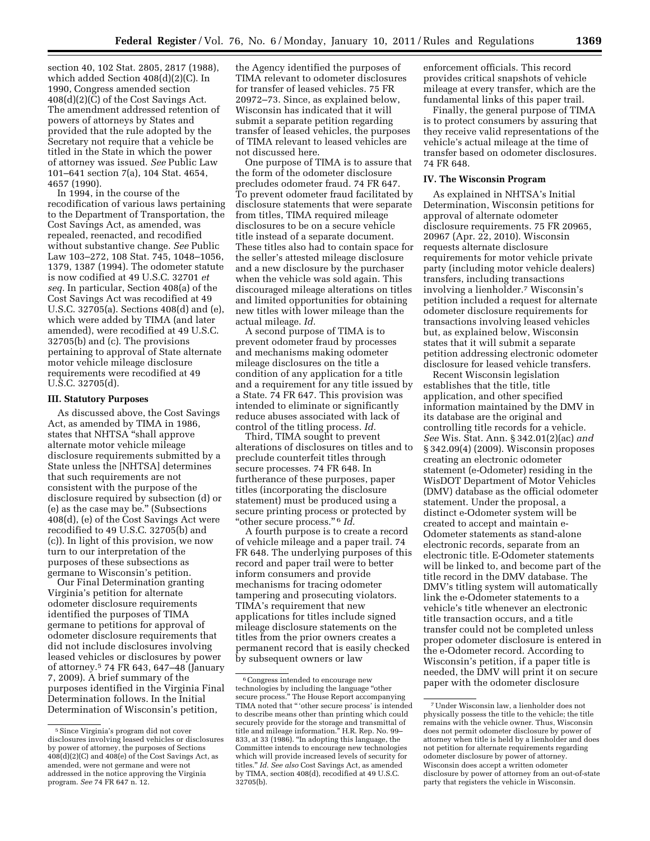section 40, 102 Stat. 2805, 2817 (1988), which added Section 408(d)(2)(C). In 1990, Congress amended section 408(d)(2)(C) of the Cost Savings Act. The amendment addressed retention of powers of attorneys by States and provided that the rule adopted by the Secretary not require that a vehicle be titled in the State in which the power of attorney was issued. *See* Public Law 101–641 section 7(a), 104 Stat. 4654, 4657 (1990).

In 1994, in the course of the recodification of various laws pertaining to the Department of Transportation, the Cost Savings Act, as amended, was repealed, reenacted, and recodified without substantive change. *See* Public Law 103–272, 108 Stat. 745, 1048–1056, 1379, 1387 (1994). The odometer statute is now codified at 49 U.S.C. 32701 *et seq.* In particular, Section 408(a) of the Cost Savings Act was recodified at 49 U.S.C. 32705(a). Sections 408(d) and (e), which were added by TIMA (and later amended), were recodified at 49 U.S.C. 32705(b) and (c). The provisions pertaining to approval of State alternate motor vehicle mileage disclosure requirements were recodified at 49 U.S.C. 32705(d).

#### **III. Statutory Purposes**

As discussed above, the Cost Savings Act, as amended by TIMA in 1986, states that NHTSA ''shall approve alternate motor vehicle mileage disclosure requirements submitted by a State unless the [NHTSA] determines that such requirements are not consistent with the purpose of the disclosure required by subsection (d) or (e) as the case may be.'' (Subsections 408(d), (e) of the Cost Savings Act were recodified to 49 U.S.C. 32705(b) and (c)). In light of this provision, we now turn to our interpretation of the purposes of these subsections as germane to Wisconsin's petition.

Our Final Determination granting Virginia's petition for alternate odometer disclosure requirements identified the purposes of TIMA germane to petitions for approval of odometer disclosure requirements that did not include disclosures involving leased vehicles or disclosures by power of attorney.5 74 FR 643, 647–48 (January 7, 2009). A brief summary of the purposes identified in the Virginia Final Determination follows. In the Initial Determination of Wisconsin's petition,

the Agency identified the purposes of TIMA relevant to odometer disclosures for transfer of leased vehicles. 75 FR 20972–73. Since, as explained below, Wisconsin has indicated that it will submit a separate petition regarding transfer of leased vehicles, the purposes of TIMA relevant to leased vehicles are not discussed here.

One purpose of TIMA is to assure that the form of the odometer disclosure precludes odometer fraud. 74 FR 647. To prevent odometer fraud facilitated by disclosure statements that were separate from titles, TIMA required mileage disclosures to be on a secure vehicle title instead of a separate document. These titles also had to contain space for the seller's attested mileage disclosure and a new disclosure by the purchaser when the vehicle was sold again. This discouraged mileage alterations on titles and limited opportunities for obtaining new titles with lower mileage than the actual mileage. *Id.* 

A second purpose of TIMA is to prevent odometer fraud by processes and mechanisms making odometer mileage disclosures on the title a condition of any application for a title and a requirement for any title issued by a State. 74 FR 647. This provision was intended to eliminate or significantly reduce abuses associated with lack of control of the titling process. *Id.* 

Third, TIMA sought to prevent alterations of disclosures on titles and to preclude counterfeit titles through secure processes. 74 FR 648. In furtherance of these purposes, paper titles (incorporating the disclosure statement) must be produced using a secure printing process or protected by ''other secure process.'' 6 *Id.* 

A fourth purpose is to create a record of vehicle mileage and a paper trail. 74 FR 648. The underlying purposes of this record and paper trail were to better inform consumers and provide mechanisms for tracing odometer tampering and prosecuting violators. TIMA's requirement that new applications for titles include signed mileage disclosure statements on the titles from the prior owners creates a permanent record that is easily checked by subsequent owners or law

enforcement officials. This record provides critical snapshots of vehicle mileage at every transfer, which are the fundamental links of this paper trail.

Finally, the general purpose of TIMA is to protect consumers by assuring that they receive valid representations of the vehicle's actual mileage at the time of transfer based on odometer disclosures. 74 FR 648.

### **IV. The Wisconsin Program**

As explained in NHTSA's Initial Determination, Wisconsin petitions for approval of alternate odometer disclosure requirements. 75 FR 20965, 20967 (Apr. 22, 2010). Wisconsin requests alternate disclosure requirements for motor vehicle private party (including motor vehicle dealers) transfers, including transactions involving a lienholder.7 Wisconsin's petition included a request for alternate odometer disclosure requirements for transactions involving leased vehicles but, as explained below, Wisconsin states that it will submit a separate petition addressing electronic odometer disclosure for leased vehicle transfers.

Recent Wisconsin legislation establishes that the title, title application, and other specified information maintained by the DMV in its database are the original and controlling title records for a vehicle. *See* Wis. Stat. Ann. § 342.01(2)(ac) *and*  § 342.09(4) (2009). Wisconsin proposes creating an electronic odometer statement (e-Odometer) residing in the WisDOT Department of Motor Vehicles (DMV) database as the official odometer statement. Under the proposal, a distinct e-Odometer system will be created to accept and maintain e-Odometer statements as stand-alone electronic records, separate from an electronic title. E-Odometer statements will be linked to, and become part of the title record in the DMV database. The DMV's titling system will automatically link the e-Odometer statements to a vehicle's title whenever an electronic title transaction occurs, and a title transfer could not be completed unless proper odometer disclosure is entered in the e-Odometer record. According to Wisconsin's petition, if a paper title is needed, the DMV will print it on secure paper with the odometer disclosure

<sup>5</sup>Since Virginia's program did not cover disclosures involving leased vehicles or disclosures by power of attorney, the purposes of Sections  $408(d)(2)(C)$  and  $408(e)$  of the Cost Savings Act, as amended, were not germane and were not addressed in the notice approving the Virginia program. *See* 74 FR 647 n. 12.

<sup>6</sup>Congress intended to encourage new technologies by including the language ''other secure process.'' The House Report accompanying TIMA noted that '' 'other secure process' is intended to describe means other than printing which could securely provide for the storage and transmittal of title and mileage information.'' H.R. Rep. No. 99– 833, at 33 (1986). ''In adopting this language, the Committee intends to encourage new technologies which will provide increased levels of security for titles.'' *Id. See also* Cost Savings Act, as amended by TIMA, section 408(d), recodified at 49 U.S.C. 32705(b).

<sup>7</sup>Under Wisconsin law, a lienholder does not physically possess the title to the vehicle; the title remains with the vehicle owner. Thus, Wisconsin does not permit odometer disclosure by power of attorney when title is held by a lienholder and does not petition for alternate requirements regarding odometer disclosure by power of attorney. Wisconsin does accept a written odometer disclosure by power of attorney from an out-of-state party that registers the vehicle in Wisconsin.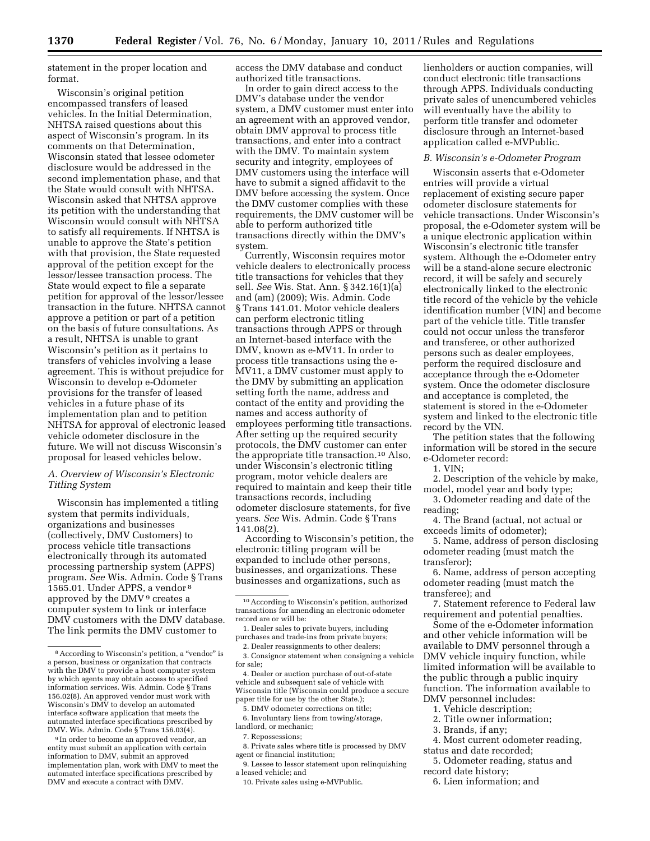statement in the proper location and format.

Wisconsin's original petition encompassed transfers of leased vehicles. In the Initial Determination, NHTSA raised questions about this aspect of Wisconsin's program. In its comments on that Determination, Wisconsin stated that lessee odometer disclosure would be addressed in the second implementation phase, and that the State would consult with NHTSA. Wisconsin asked that NHTSA approve its petition with the understanding that Wisconsin would consult with NHTSA to satisfy all requirements. If NHTSA is unable to approve the State's petition with that provision, the State requested approval of the petition except for the lessor/lessee transaction process. The State would expect to file a separate petition for approval of the lessor/lessee transaction in the future. NHTSA cannot approve a petition or part of a petition on the basis of future consultations. As a result, NHTSA is unable to grant Wisconsin's petition as it pertains to transfers of vehicles involving a lease agreement. This is without prejudice for Wisconsin to develop e-Odometer provisions for the transfer of leased vehicles in a future phase of its implementation plan and to petition NHTSA for approval of electronic leased vehicle odometer disclosure in the future. We will not discuss Wisconsin's proposal for leased vehicles below.

# *A. Overview of Wisconsin's Electronic Titling System*

Wisconsin has implemented a titling system that permits individuals, organizations and businesses (collectively, DMV Customers) to process vehicle title transactions electronically through its automated processing partnership system (APPS) program. *See* Wis. Admin. Code § Trans 1565.01. Under APPS, a vendor 8 approved by the DMV 9 creates a computer system to link or interface DMV customers with the DMV database. The link permits the DMV customer to

access the DMV database and conduct authorized title transactions.

In order to gain direct access to the DMV's database under the vendor system, a DMV customer must enter into an agreement with an approved vendor, obtain DMV approval to process title transactions, and enter into a contract with the DMV. To maintain system security and integrity, employees of DMV customers using the interface will have to submit a signed affidavit to the DMV before accessing the system. Once the DMV customer complies with these requirements, the DMV customer will be able to perform authorized title transactions directly within the DMV's system.

Currently, Wisconsin requires motor vehicle dealers to electronically process title transactions for vehicles that they sell. *See* Wis. Stat. Ann. § 342.16(1)(a) and (am) (2009); Wis. Admin. Code § Trans 141.01. Motor vehicle dealers can perform electronic titling transactions through APPS or through an Internet-based interface with the DMV, known as e-MV11. In order to process title transactions using the e-MV11, a DMV customer must apply to the DMV by submitting an application setting forth the name, address and contact of the entity and providing the names and access authority of employees performing title transactions. After setting up the required security protocols, the DMV customer can enter the appropriate title transaction.10 Also, under Wisconsin's electronic titling program, motor vehicle dealers are required to maintain and keep their title transactions records, including odometer disclosure statements, for five years. *See* Wis. Admin. Code § Trans 141.08(2).

According to Wisconsin's petition, the electronic titling program will be expanded to include other persons, businesses, and organizations. These businesses and organizations, such as

5. DMV odometer corrections on title;

6. Involuntary liens from towing/storage, landlord, or mechanic;

8. Private sales where title is processed by DMV agent or financial institution;

9. Lessee to lessor statement upon relinquishing a leased vehicle; and

10. Private sales using e-MVPublic.

lienholders or auction companies, will conduct electronic title transactions through APPS. Individuals conducting private sales of unencumbered vehicles will eventually have the ability to perform title transfer and odometer disclosure through an Internet-based application called e-MVPublic.

#### *B. Wisconsin's e-Odometer Program*

Wisconsin asserts that e-Odometer entries will provide a virtual replacement of existing secure paper odometer disclosure statements for vehicle transactions. Under Wisconsin's proposal, the e-Odometer system will be a unique electronic application within Wisconsin's electronic title transfer system. Although the e-Odometer entry will be a stand-alone secure electronic record, it will be safely and securely electronically linked to the electronic title record of the vehicle by the vehicle identification number (VIN) and become part of the vehicle title. Title transfer could not occur unless the transferor and transferee, or other authorized persons such as dealer employees, perform the required disclosure and acceptance through the e-Odometer system. Once the odometer disclosure and acceptance is completed, the statement is stored in the e-Odometer system and linked to the electronic title record by the VIN.

The petition states that the following information will be stored in the secure e-Odometer record:

1. VIN;

2. Description of the vehicle by make, model, model year and body type;

3. Odometer reading and date of the reading;

4. The Brand (actual, not actual or exceeds limits of odometer);

5. Name, address of person disclosing odometer reading (must match the transferor);

6. Name, address of person accepting odometer reading (must match the transferee); and

7. Statement reference to Federal law requirement and potential penalties.

Some of the e-Odometer information and other vehicle information will be available to DMV personnel through a DMV vehicle inquiry function, while limited information will be available to the public through a public inquiry function. The information available to DMV personnel includes:

- 1. Vehicle description;
- 2. Title owner information;
- 3. Brands, if any;
- 4. Most current odometer reading, status and date recorded;

5. Odometer reading, status and record date history;

6. Lien information; and

<sup>&</sup>lt;sup>8</sup> According to Wisconsin's petition, a "vendor" is a person, business or organization that contracts with the DMV to provide a host computer system by which agents may obtain access to specified information services. Wis. Admin. Code § Trans 156.02(8). An approved vendor must work with Wisconsin's DMV to develop an automated interface software application that meets the automated interface specifications prescribed by DMV. Wis. Admin. Code § Trans 156.03(4).

<sup>&</sup>lt;sup>9</sup> In order to become an approved vendor, an entity must submit an application with certain information to DMV, submit an approved implementation plan, work with DMV to meet the automated interface specifications prescribed by DMV and execute a contract with DMV.

<sup>10</sup>According to Wisconsin's petition, authorized transactions for amending an electronic odometer record are or will be:

<sup>1.</sup> Dealer sales to private buyers, including purchases and trade-ins from private buyers;

<sup>2.</sup> Dealer reassignments to other dealers; 3. Consignor statement when consigning a vehicle for sale;

<sup>4.</sup> Dealer or auction purchase of out-of-state vehicle and subsequent sale of vehicle with Wisconsin title (Wisconsin could produce a secure paper title for use by the other State.);

<sup>7.</sup> Repossessions;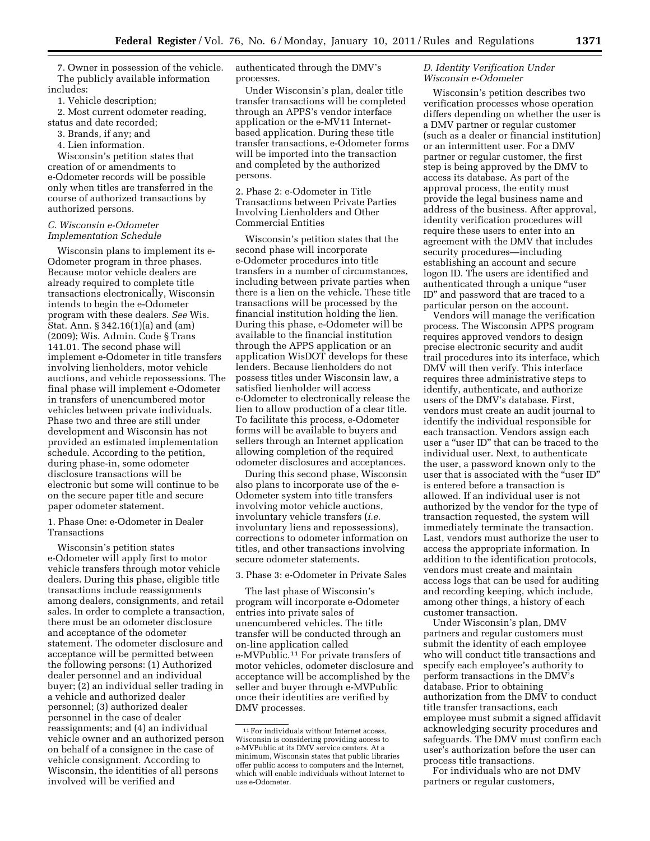7. Owner in possession of the vehicle. The publicly available information includes:

1. Vehicle description;

2. Most current odometer reading, status and date recorded;

3. Brands, if any; and

4. Lien information.

Wisconsin's petition states that creation of or amendments to e-Odometer records will be possible only when titles are transferred in the course of authorized transactions by authorized persons.

# *C. Wisconsin e-Odometer Implementation Schedule*

Wisconsin plans to implement its e-Odometer program in three phases. Because motor vehicle dealers are already required to complete title transactions electronically, Wisconsin intends to begin the e-Odometer program with these dealers. *See* Wis. Stat. Ann. § 342.16(1)(a) and (am) (2009); Wis. Admin. Code § Trans 141.01. The second phase will implement e-Odometer in title transfers involving lienholders, motor vehicle auctions, and vehicle repossessions. The final phase will implement e-Odometer in transfers of unencumbered motor vehicles between private individuals. Phase two and three are still under development and Wisconsin has not provided an estimated implementation schedule. According to the petition, during phase-in, some odometer disclosure transactions will be electronic but some will continue to be on the secure paper title and secure paper odometer statement.

1. Phase One: e-Odometer in Dealer Transactions

Wisconsin's petition states e-Odometer will apply first to motor vehicle transfers through motor vehicle dealers. During this phase, eligible title transactions include reassignments among dealers, consignments, and retail sales. In order to complete a transaction, there must be an odometer disclosure and acceptance of the odometer statement. The odometer disclosure and acceptance will be permitted between the following persons: (1) Authorized dealer personnel and an individual buyer; (2) an individual seller trading in a vehicle and authorized dealer personnel; (3) authorized dealer personnel in the case of dealer reassignments; and (4) an individual vehicle owner and an authorized person on behalf of a consignee in the case of vehicle consignment. According to Wisconsin, the identities of all persons involved will be verified and

authenticated through the DMV's processes.

Under Wisconsin's plan, dealer title transfer transactions will be completed through an APPS's vendor interface application or the e-MV11 Internetbased application. During these title transfer transactions, e-Odometer forms will be imported into the transaction and completed by the authorized persons.

2. Phase 2: e-Odometer in Title Transactions between Private Parties Involving Lienholders and Other Commercial Entities

Wisconsin's petition states that the second phase will incorporate e-Odometer procedures into title transfers in a number of circumstances, including between private parties when there is a lien on the vehicle. These title transactions will be processed by the financial institution holding the lien. During this phase, e-Odometer will be available to the financial institution through the APPS application or an application WisDOT develops for these lenders. Because lienholders do not possess titles under Wisconsin law, a satisfied lienholder will access e-Odometer to electronically release the lien to allow production of a clear title. To facilitate this process, e-Odometer forms will be available to buyers and sellers through an Internet application allowing completion of the required odometer disclosures and acceptances.

During this second phase, Wisconsin also plans to incorporate use of the e-Odometer system into title transfers involving motor vehicle auctions, involuntary vehicle transfers (*i.e.*  involuntary liens and repossessions), corrections to odometer information on titles, and other transactions involving secure odometer statements.

#### 3. Phase 3: e-Odometer in Private Sales

The last phase of Wisconsin's program will incorporate e-Odometer entries into private sales of unencumbered vehicles. The title transfer will be conducted through an on-line application called e-MVPublic.11 For private transfers of motor vehicles, odometer disclosure and acceptance will be accomplished by the seller and buyer through e-MVPublic once their identities are verified by DMV processes.

# *D. Identity Verification Under Wisconsin e-Odometer*

Wisconsin's petition describes two verification processes whose operation differs depending on whether the user is a DMV partner or regular customer (such as a dealer or financial institution) or an intermittent user. For a DMV partner or regular customer, the first step is being approved by the DMV to access its database. As part of the approval process, the entity must provide the legal business name and address of the business. After approval, identity verification procedures will require these users to enter into an agreement with the DMV that includes security procedures—including establishing an account and secure logon ID. The users are identified and authenticated through a unique ''user ID'' and password that are traced to a particular person on the account.

Vendors will manage the verification process. The Wisconsin APPS program requires approved vendors to design precise electronic security and audit trail procedures into its interface, which DMV will then verify. This interface requires three administrative steps to identify, authenticate, and authorize users of the DMV's database. First, vendors must create an audit journal to identify the individual responsible for each transaction. Vendors assign each user a "user ID" that can be traced to the individual user. Next, to authenticate the user, a password known only to the user that is associated with the "user ID" is entered before a transaction is allowed. If an individual user is not authorized by the vendor for the type of transaction requested, the system will immediately terminate the transaction. Last, vendors must authorize the user to access the appropriate information. In addition to the identification protocols, vendors must create and maintain access logs that can be used for auditing and recording keeping, which include, among other things, a history of each customer transaction.

Under Wisconsin's plan, DMV partners and regular customers must submit the identity of each employee who will conduct title transactions and specify each employee's authority to perform transactions in the DMV's database. Prior to obtaining authorization from the DMV to conduct title transfer transactions, each employee must submit a signed affidavit acknowledging security procedures and safeguards. The DMV must confirm each user's authorization before the user can process title transactions.

For individuals who are not DMV partners or regular customers,

<sup>11</sup>For individuals without Internet access, Wisconsin is considering providing access to e-MVPublic at its DMV service centers. At a minimum, Wisconsin states that public libraries offer public access to computers and the Internet, which will enable individuals without Internet to use e-Odometer.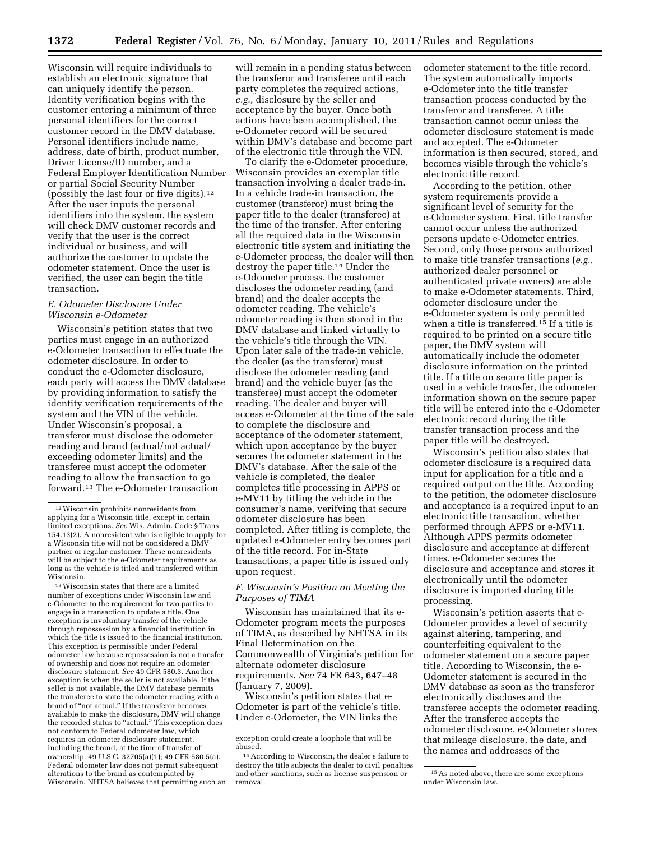Wisconsin will require individuals to establish an electronic signature that can uniquely identify the person. Identity verification begins with the customer entering a minimum of three personal identifiers for the correct customer record in the DMV database. Personal identifiers include name, address, date of birth, product number, Driver License/ID number, and a Federal Employer Identification Number or partial Social Security Number (possibly the last four or five digits).12 After the user inputs the personal identifiers into the system, the system will check DMV customer records and verify that the user is the correct individual or business, and will authorize the customer to update the odometer statement. Once the user is verified, the user can begin the title transaction.

# *E. Odometer Disclosure Under Wisconsin e-Odometer*

Wisconsin's petition states that two parties must engage in an authorized e-Odometer transaction to effectuate the odometer disclosure. In order to conduct the e-Odometer disclosure, each party will access the DMV database by providing information to satisfy the identity verification requirements of the system and the VIN of the vehicle. Under Wisconsin's proposal, a transferor must disclose the odometer reading and brand (actual/not actual/ exceeding odometer limits) and the transferee must accept the odometer reading to allow the transaction to go forward.13 The e-Odometer transaction

 $^{\rm 13}\rm\,W is cosmic$  states that there are a limited number of exceptions under Wisconsin law and e-Odometer to the requirement for two parties to engage in a transaction to update a title. One exception is involuntary transfer of the vehicle through repossession by a financial institution in which the title is issued to the financial institution. This exception is permissible under Federal odometer law because repossession is not a transfer of ownership and does not require an odometer disclosure statement. *See* 49 CFR 580.3. Another exception is when the seller is not available. If the seller is not available, the DMV database permits the transferee to state the odometer reading with a brand of "not actual." If the transferor becomes available to make the disclosure, DMV will change the recorded status to "actual." This exception does not conform to Federal odometer law, which requires an odometer disclosure statement, including the brand, at the time of transfer of ownership. 49 U.S.C. 32705(a)(1); 49 CFR 580.5(a). Federal odometer law does not permit subsequent alterations to the brand as contemplated by Wisconsin. NHTSA believes that permitting such an

will remain in a pending status between the transferor and transferee until each party completes the required actions, *e.g.,* disclosure by the seller and acceptance by the buyer. Once both actions have been accomplished, the e-Odometer record will be secured within DMV's database and become part of the electronic title through the VIN.

To clarify the e-Odometer procedure, Wisconsin provides an exemplar title transaction involving a dealer trade-in. In a vehicle trade-in transaction, the customer (transferor) must bring the paper title to the dealer (transferee) at the time of the transfer. After entering all the required data in the Wisconsin electronic title system and initiating the e-Odometer process, the dealer will then destroy the paper title.14 Under the e-Odometer process, the customer discloses the odometer reading (and brand) and the dealer accepts the odometer reading. The vehicle's odometer reading is then stored in the DMV database and linked virtually to the vehicle's title through the VIN. Upon later sale of the trade-in vehicle, the dealer (as the transferor) must disclose the odometer reading (and brand) and the vehicle buyer (as the transferee) must accept the odometer reading. The dealer and buyer will access e-Odometer at the time of the sale to complete the disclosure and acceptance of the odometer statement, which upon acceptance by the buyer secures the odometer statement in the DMV's database. After the sale of the vehicle is completed, the dealer completes title processing in APPS or e-MV11 by titling the vehicle in the consumer's name, verifying that secure odometer disclosure has been completed. After titling is complete, the updated e-Odometer entry becomes part of the title record. For in-State transactions, a paper title is issued only upon request.

# *F. Wisconsin's Position on Meeting the Purposes of TIMA*

Wisconsin has maintained that its e-Odometer program meets the purposes of TIMA, as described by NHTSA in its Final Determination on the Commonwealth of Virginia's petition for alternate odometer disclosure requirements. *See* 74 FR 643, 647–48 (January 7, 2009).

Wisconsin's petition states that e-Odometer is part of the vehicle's title. Under e-Odometer, the VIN links the

odometer statement to the title record. The system automatically imports e-Odometer into the title transfer transaction process conducted by the transferor and transferee. A title transaction cannot occur unless the odometer disclosure statement is made and accepted. The e-Odometer information is then secured, stored, and becomes visible through the vehicle's electronic title record.

According to the petition, other system requirements provide a significant level of security for the e-Odometer system. First, title transfer cannot occur unless the authorized persons update e-Odometer entries. Second, only those persons authorized to make title transfer transactions (*e.g.,*  authorized dealer personnel or authenticated private owners) are able to make e-Odometer statements. Third, odometer disclosure under the e-Odometer system is only permitted when a title is transferred.15 If a title is required to be printed on a secure title paper, the DMV system will automatically include the odometer disclosure information on the printed title. If a title on secure title paper is used in a vehicle transfer, the odometer information shown on the secure paper title will be entered into the e-Odometer electronic record during the title transfer transaction process and the paper title will be destroyed.

Wisconsin's petition also states that odometer disclosure is a required data input for application for a title and a required output on the title. According to the petition, the odometer disclosure and acceptance is a required input to an electronic title transaction, whether performed through APPS or e-MV11. Although APPS permits odometer disclosure and acceptance at different times, e-Odometer secures the disclosure and acceptance and stores it electronically until the odometer disclosure is imported during title processing.

Wisconsin's petition asserts that e-Odometer provides a level of security against altering, tampering, and counterfeiting equivalent to the odometer statement on a secure paper title. According to Wisconsin, the e-Odometer statement is secured in the DMV database as soon as the transferor electronically discloses and the transferee accepts the odometer reading. After the transferee accepts the odometer disclosure, e-Odometer stores that mileage disclosure, the date, and the names and addresses of the

 $^{\rm 12}$  Wisconsin prohibits nonresidents from applying for a Wisconsin title, except in certain limited exceptions. *See* Wis. Admin. Code § Trans 154.13(2). A nonresident who is eligible to apply for a Wisconsin title will not be considered a DMV partner or regular customer. These nonresidents will be subject to the e-Odometer requirements as long as the vehicle is titled and transferred within Wisconsin.

exception could create a loophole that will be abused.

<sup>14</sup>According to Wisconsin, the dealer's failure to destroy the title subjects the dealer to civil penalties and other sanctions, such as license suspension or removal.

<sup>15</sup>As noted above, there are some exceptions under Wisconsin law.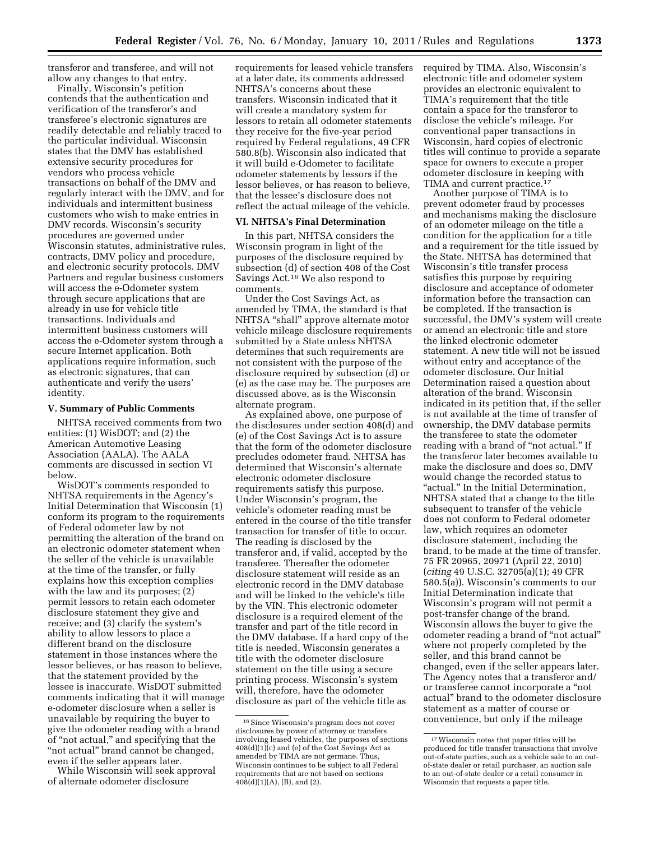transferor and transferee, and will not allow any changes to that entry.

Finally, Wisconsin's petition contends that the authentication and verification of the transferor's and transferee's electronic signatures are readily detectable and reliably traced to the particular individual. Wisconsin states that the DMV has established extensive security procedures for vendors who process vehicle transactions on behalf of the DMV and regularly interact with the DMV, and for individuals and intermittent business customers who wish to make entries in DMV records. Wisconsin's security procedures are governed under Wisconsin statutes, administrative rules, contracts, DMV policy and procedure, and electronic security protocols. DMV Partners and regular business customers will access the e-Odometer system through secure applications that are already in use for vehicle title transactions. Individuals and intermittent business customers will access the e-Odometer system through a secure Internet application. Both applications require information, such as electronic signatures, that can authenticate and verify the users' identity.

### **V. Summary of Public Comments**

NHTSA received comments from two entities: (1) WisDOT; and (2) the American Automotive Leasing Association (AALA). The AALA comments are discussed in section VI below.

WisDOT's comments responded to NHTSA requirements in the Agency's Initial Determination that Wisconsin (1) conform its program to the requirements of Federal odometer law by not permitting the alteration of the brand on an electronic odometer statement when the seller of the vehicle is unavailable at the time of the transfer, or fully explains how this exception complies with the law and its purposes;  $(2)$ permit lessors to retain each odometer disclosure statement they give and receive; and (3) clarify the system's ability to allow lessors to place a different brand on the disclosure statement in those instances where the lessor believes, or has reason to believe, that the statement provided by the lessee is inaccurate. WisDOT submitted comments indicating that it will manage e-odometer disclosure when a seller is unavailable by requiring the buyer to give the odometer reading with a brand of ''not actual,'' and specifying that the "not actual" brand cannot be changed, even if the seller appears later.

While Wisconsin will seek approval of alternate odometer disclosure

requirements for leased vehicle transfers at a later date, its comments addressed NHTSA's concerns about these transfers. Wisconsin indicated that it will create a mandatory system for lessors to retain all odometer statements they receive for the five-year period required by Federal regulations, 49 CFR 580.8(b). Wisconsin also indicated that it will build e-Odometer to facilitate odometer statements by lessors if the lessor believes, or has reason to believe, that the lessee's disclosure does not reflect the actual mileage of the vehicle.

# **VI. NHTSA's Final Determination**

In this part, NHTSA considers the Wisconsin program in light of the purposes of the disclosure required by subsection (d) of section 408 of the Cost Savings Act.16 We also respond to comments.

Under the Cost Savings Act, as amended by TIMA, the standard is that NHTSA ''shall'' approve alternate motor vehicle mileage disclosure requirements submitted by a State unless NHTSA determines that such requirements are not consistent with the purpose of the disclosure required by subsection (d) or (e) as the case may be. The purposes are discussed above, as is the Wisconsin alternate program.

As explained above, one purpose of the disclosures under section 408(d) and (e) of the Cost Savings Act is to assure that the form of the odometer disclosure precludes odometer fraud. NHTSA has determined that Wisconsin's alternate electronic odometer disclosure requirements satisfy this purpose. Under Wisconsin's program, the vehicle's odometer reading must be entered in the course of the title transfer transaction for transfer of title to occur. The reading is disclosed by the transferor and, if valid, accepted by the transferee. Thereafter the odometer disclosure statement will reside as an electronic record in the DMV database and will be linked to the vehicle's title by the VIN. This electronic odometer disclosure is a required element of the transfer and part of the title record in the DMV database. If a hard copy of the title is needed, Wisconsin generates a title with the odometer disclosure statement on the title using a secure printing process. Wisconsin's system will, therefore, have the odometer disclosure as part of the vehicle title as

required by TIMA. Also, Wisconsin's electronic title and odometer system provides an electronic equivalent to TIMA's requirement that the title contain a space for the transferor to disclose the vehicle's mileage. For conventional paper transactions in Wisconsin, hard copies of electronic titles will continue to provide a separate space for owners to execute a proper odometer disclosure in keeping with TIMA and current practice.17

Another purpose of TIMA is to prevent odometer fraud by processes and mechanisms making the disclosure of an odometer mileage on the title a condition for the application for a title and a requirement for the title issued by the State. NHTSA has determined that Wisconsin's title transfer process satisfies this purpose by requiring disclosure and acceptance of odometer information before the transaction can be completed. If the transaction is successful, the DMV's system will create or amend an electronic title and store the linked electronic odometer statement. A new title will not be issued without entry and acceptance of the odometer disclosure. Our Initial Determination raised a question about alteration of the brand. Wisconsin indicated in its petition that, if the seller is not available at the time of transfer of ownership, the DMV database permits the transferee to state the odometer reading with a brand of "not actual." If the transferor later becomes available to make the disclosure and does so, DMV would change the recorded status to "actual." In the Initial Determination, NHTSA stated that a change to the title subsequent to transfer of the vehicle does not conform to Federal odometer law, which requires an odometer disclosure statement, including the brand, to be made at the time of transfer. 75 FR 20965, 20971 (April 22, 2010) (*citing* 49 U.S.C. 32705(a)(1); 49 CFR 580.5(a)). Wisconsin's comments to our Initial Determination indicate that Wisconsin's program will not permit a post-transfer change of the brand. Wisconsin allows the buyer to give the odometer reading a brand of ''not actual'' where not properly completed by the seller, and this brand cannot be changed, even if the seller appears later. The Agency notes that a transferor and/ or transferee cannot incorporate a ''not actual'' brand to the odometer disclosure statement as a matter of course or convenience, but only if the mileage

<sup>16</sup>Since Wisconsin's program does not cover disclosures by power of attorney or transfers involving leased vehicles, the purposes of sections 408(d)(1)(c) and (e) of the Cost Savings Act as amended by TIMA are not germane. Thus, Wisconsin continues to be subject to all Federal requirements that are not based on sections  $408(d)(1)(A)$ , (B), and (2).

<sup>17</sup>Wisconsin notes that paper titles will be produced for title transfer transactions that involve out-of-state parties, such as a vehicle sale to an outof-state dealer or retail purchaser, an auction sale to an out-of-state dealer or a retail consumer in Wisconsin that requests a paper title.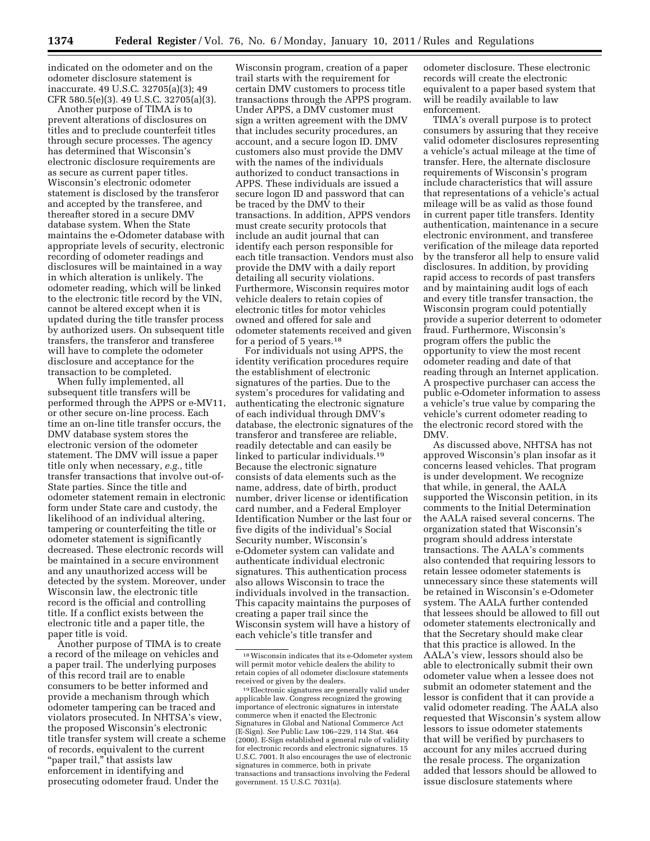indicated on the odometer and on the odometer disclosure statement is inaccurate. 49 U.S.C. 32705(a)(3); 49 CFR 580.5(e)(3). 49 U.S.C. 32705(a)(3).

Another purpose of TIMA is to prevent alterations of disclosures on titles and to preclude counterfeit titles through secure processes. The agency has determined that Wisconsin's electronic disclosure requirements are as secure as current paper titles. Wisconsin's electronic odometer statement is disclosed by the transferor and accepted by the transferee, and thereafter stored in a secure DMV database system. When the State maintains the e-Odometer database with appropriate levels of security, electronic recording of odometer readings and disclosures will be maintained in a way in which alteration is unlikely. The odometer reading, which will be linked to the electronic title record by the VIN, cannot be altered except when it is updated during the title transfer process by authorized users. On subsequent title transfers, the transferor and transferee will have to complete the odometer disclosure and acceptance for the transaction to be completed.

When fully implemented, all subsequent title transfers will be performed through the APPS or e-MV11, or other secure on-line process. Each time an on-line title transfer occurs, the DMV database system stores the electronic version of the odometer statement. The DMV will issue a paper title only when necessary, *e.g.,* title transfer transactions that involve out-of-State parties. Since the title and odometer statement remain in electronic form under State care and custody, the likelihood of an individual altering, tampering or counterfeiting the title or odometer statement is significantly decreased. These electronic records will be maintained in a secure environment and any unauthorized access will be detected by the system. Moreover, under Wisconsin law, the electronic title record is the official and controlling title. If a conflict exists between the electronic title and a paper title, the paper title is void.

Another purpose of TIMA is to create a record of the mileage on vehicles and a paper trail. The underlying purposes of this record trail are to enable consumers to be better informed and provide a mechanism through which odometer tampering can be traced and violators prosecuted. In NHTSA's view, the proposed Wisconsin's electronic title transfer system will create a scheme of records, equivalent to the current "paper trail," that assists law enforcement in identifying and prosecuting odometer fraud. Under the

Wisconsin program, creation of a paper trail starts with the requirement for certain DMV customers to process title transactions through the APPS program. Under APPS, a DMV customer must sign a written agreement with the DMV that includes security procedures, an account, and a secure logon ID. DMV customers also must provide the DMV with the names of the individuals authorized to conduct transactions in APPS. These individuals are issued a secure logon ID and password that can be traced by the DMV to their transactions. In addition, APPS vendors must create security protocols that include an audit journal that can identify each person responsible for each title transaction. Vendors must also provide the DMV with a daily report detailing all security violations. Furthermore, Wisconsin requires motor vehicle dealers to retain copies of electronic titles for motor vehicles owned and offered for sale and odometer statements received and given for a period of 5 years.18

For individuals not using APPS, the identity verification procedures require the establishment of electronic signatures of the parties. Due to the system's procedures for validating and authenticating the electronic signature of each individual through DMV's database, the electronic signatures of the transferor and transferee are reliable, readily detectable and can easily be linked to particular individuals.19 Because the electronic signature consists of data elements such as the name, address, date of birth, product number, driver license or identification card number, and a Federal Employer Identification Number or the last four or five digits of the individual's Social Security number, Wisconsin's e-Odometer system can validate and authenticate individual electronic signatures. This authentication process also allows Wisconsin to trace the individuals involved in the transaction. This capacity maintains the purposes of creating a paper trail since the Wisconsin system will have a history of each vehicle's title transfer and

odometer disclosure. These electronic records will create the electronic equivalent to a paper based system that will be readily available to law enforcement.

TIMA's overall purpose is to protect consumers by assuring that they receive valid odometer disclosures representing a vehicle's actual mileage at the time of transfer. Here, the alternate disclosure requirements of Wisconsin's program include characteristics that will assure that representations of a vehicle's actual mileage will be as valid as those found in current paper title transfers. Identity authentication, maintenance in a secure electronic environment, and transferee verification of the mileage data reported by the transferor all help to ensure valid disclosures. In addition, by providing rapid access to records of past transfers and by maintaining audit logs of each and every title transfer transaction, the Wisconsin program could potentially provide a superior deterrent to odometer fraud. Furthermore, Wisconsin's program offers the public the opportunity to view the most recent odometer reading and date of that reading through an Internet application. A prospective purchaser can access the public e-Odometer information to assess a vehicle's true value by comparing the vehicle's current odometer reading to the electronic record stored with the DMV.

As discussed above, NHTSA has not approved Wisconsin's plan insofar as it concerns leased vehicles. That program is under development. We recognize that while, in general, the AALA supported the Wisconsin petition, in its comments to the Initial Determination the AALA raised several concerns. The organization stated that Wisconsin's program should address interstate transactions. The AALA's comments also contended that requiring lessors to retain lessee odometer statements is unnecessary since these statements will be retained in Wisconsin's e-Odometer system. The AALA further contended that lessees should be allowed to fill out odometer statements electronically and that the Secretary should make clear that this practice is allowed. In the AALA's view, lessors should also be able to electronically submit their own odometer value when a lessee does not submit an odometer statement and the lessor is confident that it can provide a valid odometer reading. The AALA also requested that Wisconsin's system allow lessors to issue odometer statements that will be verified by purchasers to account for any miles accrued during the resale process. The organization added that lessors should be allowed to issue disclosure statements where

<sup>18</sup>Wisconsin indicates that its e-Odometer system will permit motor vehicle dealers the ability to retain copies of all odometer disclosure statements

<sup>&</sup>lt;sup>19</sup>Electronic signatures are generally valid under applicable law. Congress recognized the growing importance of electronic signatures in interstate commerce when it enacted the Electronic Signatures in Global and National Commerce Act (E-Sign). *See* Public Law 106–229, 114 Stat. 464 (2000). E-Sign established a general rule of validity for electronic records and electronic signatures. 15 U.S.C. 7001. It also encourages the use of electronic signatures in commerce, both in private transactions and transactions involving the Federal government. 15 U.S.C. 7031(a).